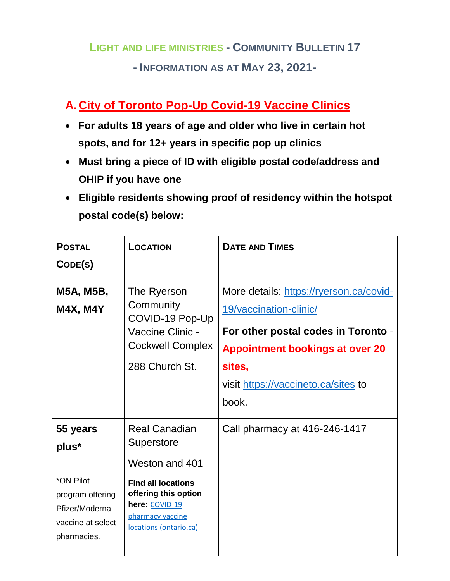# **LIGHT AND LIFE MINISTRIES - COMMUNITY BULLETIN 17 - INFORMATION AS AT MAY 23, 2021-**

## **A.City of Toronto Pop-Up Covid-19 Vaccine Clinics**

- **For adults 18 years of age and older who live in certain hot spots, and for 12+ years in specific pop up clinics**
- **Must bring a piece of ID with eligible postal code/address and OHIP if you have one**
- **Eligible residents showing proof of residency within the hotspot postal code(s) below:**

| <b>POSTAL</b><br>CODE(S)                                                                                 | <b>LOCATION</b>                                                                                                                                                           | <b>DATE AND TIMES</b>                                                                                                                                                                                        |
|----------------------------------------------------------------------------------------------------------|---------------------------------------------------------------------------------------------------------------------------------------------------------------------------|--------------------------------------------------------------------------------------------------------------------------------------------------------------------------------------------------------------|
| M5A, M5B,<br><b>M4X, M4Y</b>                                                                             | The Ryerson<br>Community<br>COVID-19 Pop-Up<br>Vaccine Clinic -<br><b>Cockwell Complex</b><br>288 Church St.                                                              | More details: https://ryerson.ca/covid-<br>19/vaccination-clinic/<br>For other postal codes in Toronto -<br><b>Appointment bookings at over 20</b><br>sites,<br>visit https://vaccineto.ca/sites to<br>book. |
| 55 years<br>plus*<br>*ON Pilot<br>program offering<br>Pfizer/Moderna<br>vaccine at select<br>pharmacies. | <b>Real Canadian</b><br>Superstore<br>Weston and 401<br><b>Find all locations</b><br>offering this option<br>here: COVID-19<br>pharmacy vaccine<br>locations (ontario.ca) | Call pharmacy at 416-246-1417                                                                                                                                                                                |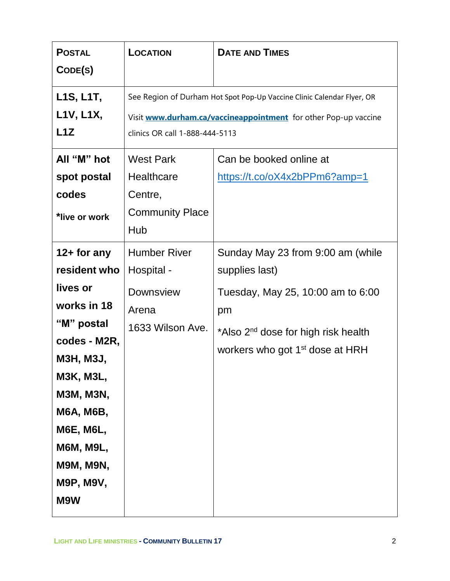| <b>POSTAL</b>                       | <b>LOCATION</b>                | <b>DATE AND TIMES</b>                                                  |
|-------------------------------------|--------------------------------|------------------------------------------------------------------------|
| CODE(S)                             |                                |                                                                        |
| L <sub>1</sub> S, L <sub>1T</sub> , |                                | See Region of Durham Hot Spot Pop-Up Vaccine Clinic Calendar Flyer, OR |
| L1V, L1X,                           |                                | Visit www.durham.ca/vaccineappointment for other Pop-up vaccine        |
| L1Z                                 | clinics OR call 1-888-444-5113 |                                                                        |
| All "M" hot                         | <b>West Park</b>               | Can be booked online at                                                |
| spot postal                         | <b>Healthcare</b>              | https://t.co/oX4x2bPPm6?amp=1                                          |
| codes                               | Centre,                        |                                                                        |
| *live or work                       | <b>Community Place</b>         |                                                                        |
|                                     | Hub                            |                                                                        |
| $12+$ for any                       | <b>Humber River</b>            | Sunday May 23 from 9:00 am (while                                      |
| resident who                        | Hospital -                     | supplies last)                                                         |
| lives or                            | <b>Downsview</b>               | Tuesday, May 25, 10:00 am to 6:00                                      |
| works in 18                         | Arena                          | pm                                                                     |
| "M" postal                          | 1633 Wilson Ave.               | *Also 2 <sup>nd</sup> dose for high risk health                        |
| codes - M2R,                        |                                | workers who got 1 <sup>st</sup> dose at HRH                            |
| <b>M3H, M3J,</b>                    |                                |                                                                        |
| <b>M3K, M3L,</b>                    |                                |                                                                        |
| <b>M3M, M3N,</b>                    |                                |                                                                        |
| <b>M6A, M6B,</b>                    |                                |                                                                        |
| <b>M6E, M6L,</b>                    |                                |                                                                        |
| <b>M6M, M9L,</b>                    |                                |                                                                        |
| <b>M9M, M9N,</b>                    |                                |                                                                        |
| <b>M9P, M9V,</b>                    |                                |                                                                        |
| M9W                                 |                                |                                                                        |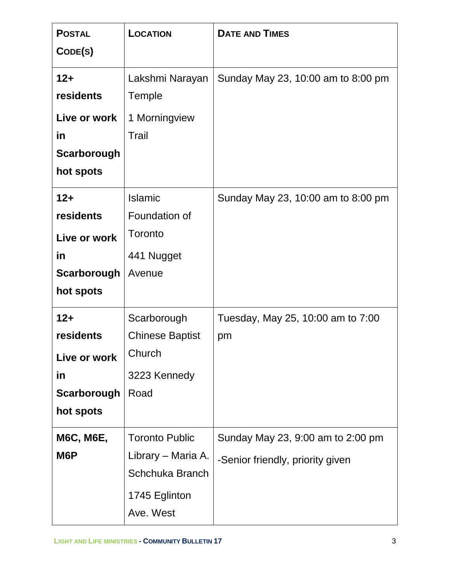| <b>POSTAL</b><br>CODE(S) | LOCATION                   | <b>DATE AND TIMES</b>              |
|--------------------------|----------------------------|------------------------------------|
| $12+$                    | Lakshmi Narayan            | Sunday May 23, 10:00 am to 8:00 pm |
| residents                | Temple                     |                                    |
| Live or work             | 1 Morningview              |                                    |
| in                       | Trail                      |                                    |
| Scarborough              |                            |                                    |
| hot spots                |                            |                                    |
| $12+$                    | <b>Islamic</b>             | Sunday May 23, 10:00 am to 8:00 pm |
| residents                | Foundation of              |                                    |
| Live or work             | Toronto                    |                                    |
| in                       | 441 Nugget                 |                                    |
| Scarborough              | Avenue                     |                                    |
| hot spots                |                            |                                    |
| $12+$                    | Scarborough                | Tuesday, May 25, 10:00 am to 7:00  |
| residents                | <b>Chinese Baptist</b>     | pm                                 |
| Live or work             | Church                     |                                    |
| in                       | 3223 Kennedy               |                                    |
| Scarborough              | Road                       |                                    |
| hot spots                |                            |                                    |
| <b>M6C, M6E,</b>         | <b>Toronto Public</b>      | Sunday May 23, 9:00 am to 2:00 pm  |
| M6P                      | Library – Maria A.         | -Senior friendly, priority given   |
|                          | Schchuka Branch            |                                    |
|                          | 1745 Eglinton<br>Ave. West |                                    |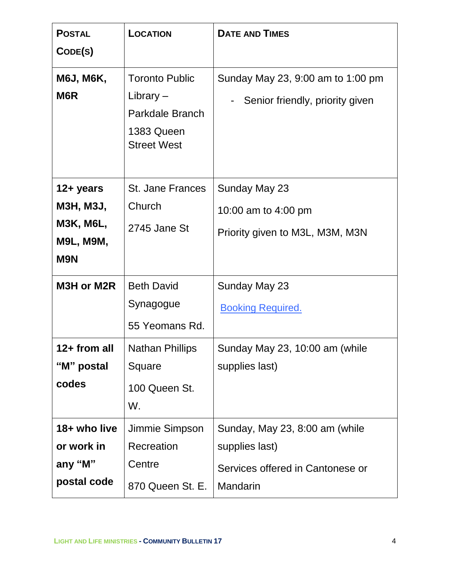| <b>POSTAL</b><br>CODE(S)                                                            | <b>LOCATION</b>                                                                             | <b>DATE AND TIMES</b>                                                                            |
|-------------------------------------------------------------------------------------|---------------------------------------------------------------------------------------------|--------------------------------------------------------------------------------------------------|
| <b>M6J, M6K,</b><br>M <sub>6</sub> R                                                | <b>Toronto Public</b><br>Library $-$<br>Parkdale Branch<br>1383 Queen<br><b>Street West</b> | Sunday May 23, 9:00 am to 1:00 pm<br>Senior friendly, priority given                             |
| 12+ years<br><b>M3H, M3J,</b><br><b>M3K, M6L,</b><br><b>M9L, M9M,</b><br><b>M9N</b> | <b>St. Jane Frances</b><br>Church<br>2745 Jane St                                           | Sunday May 23<br>10:00 am to 4:00 pm<br>Priority given to M3L, M3M, M3N                          |
| M3H or M2R                                                                          | <b>Beth David</b><br>Synagogue<br>55 Yeomans Rd.                                            | Sunday May 23<br><b>Booking Required.</b>                                                        |
| 12+ from all<br>"M" postal<br>codes                                                 | <b>Nathan Phillips</b><br>Square<br>100 Queen St.<br>W.                                     | Sunday May 23, 10:00 am (while<br>supplies last)                                                 |
| 18+ who live<br>or work in<br>any "M"<br>postal code                                | Jimmie Simpson<br>Recreation<br>Centre<br>870 Queen St. E.                                  | Sunday, May 23, 8:00 am (while<br>supplies last)<br>Services offered in Cantonese or<br>Mandarin |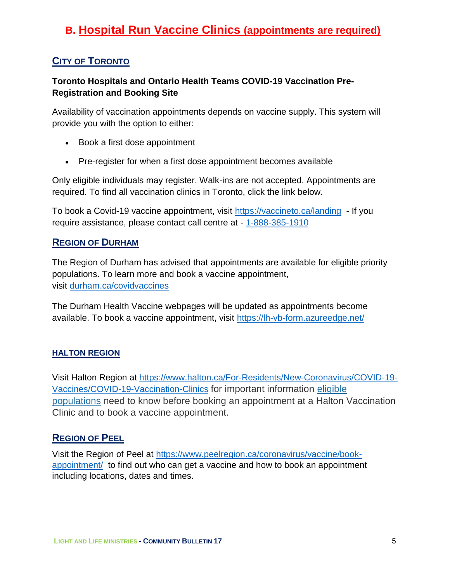## **B. Hospital Run Vaccine Clinics (appointments are required)**

#### **CITY OF TORONTO**

#### **Toronto Hospitals and Ontario Health Teams COVID-19 Vaccination Pre-Registration and Booking Site**

Availability of vaccination appointments depends on vaccine supply. This system will provide you with the option to either:

- Book a first dose appointment
- Pre-register for when a first dose appointment becomes available

Only eligible individuals may register. Walk-ins are not accepted. Appointments are required. To find all vaccination clinics in Toronto, click the link below.

To book a Covid-19 vaccine appointment, visit<https://vaccineto.ca/landing> - If you require assistance, please contact call centre at - [1-888-385-1910](tel:1-888-385-1910)

#### **REGION OF DURHAM**

The Region of Durham has advised that appointments are available for eligible priority populations. To learn more and book a vaccine appointment, visit [durham.ca/covidvaccines](http://www.durham.ca/covidvaccines)

The Durham Health Vaccine webpages will be updated as appointments become available. To book a vaccine appointment, visit<https://lh-vb-form.azureedge.net/>

#### **HALTON REGION**

Visit Halton Region at [https://www.halton.ca/For-Residents/New-Coronavirus/COVID-19-](https://www.halton.ca/For-Residents/New-Coronavirus/COVID-19-Vaccines/COVID-19-Vaccination-Clinics) [Vaccines/COVID-19-Vaccination-Clinics](https://www.halton.ca/For-Residents/New-Coronavirus/COVID-19-Vaccines/COVID-19-Vaccination-Clinics) for important information [eligible](https://www.halton.ca/For-Residents/Immunizations-Preventable-Disease/Diseases-Infections/New-Coronavirus/COVID-19-Vaccines/Who-is-currently-eligible-in-Halton#03)  [populations](https://www.halton.ca/For-Residents/Immunizations-Preventable-Disease/Diseases-Infections/New-Coronavirus/COVID-19-Vaccines/Who-is-currently-eligible-in-Halton#03) need to know before booking an appointment at a Halton Vaccination Clinic and to book a vaccine appointment.

#### **REGION OF PEEL**

Visit the Region of Peel at [https://www.peelregion.ca/coronavirus/vaccine/book](https://www.peelregion.ca/coronavirus/vaccine/book-appointment/)[appointment/](https://www.peelregion.ca/coronavirus/vaccine/book-appointment/) to find out who can get a vaccine and how to book an appointment including locations, dates and times.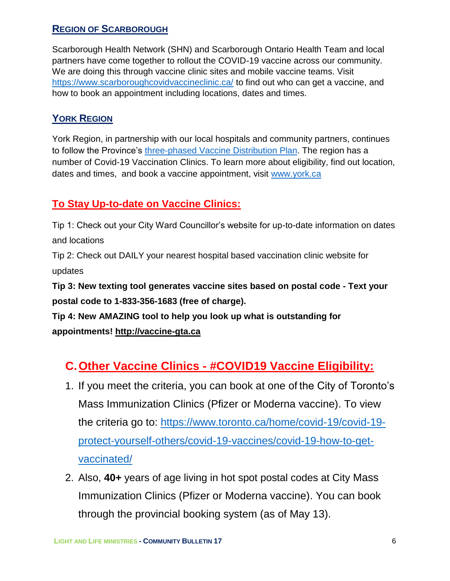#### **REGION OF SCARBOROUGH**

Scarborough Health Network (SHN) and Scarborough Ontario Health Team and local partners have come together to rollout the COVID-19 vaccine across our community. We are doing this through vaccine clinic sites and mobile vaccine teams. Visit <https://www.scarboroughcovidvaccineclinic.ca/> to find out who can get a vaccine, and how to book an appointment including locations, dates and times.

#### **YORK REGION**

York Region, in partnership with our local hospitals and community partners, continues to follow the Province's [three-phased Vaccine Distribution Plan.](https://files.ontario.ca/moh-covid-19-vaccine-distribution-plan-en-2021-02-19.pdf) The region has a number of Covid-19 Vaccination Clinics. To learn more about eligibility, find out location, dates and times, and book a vaccine appointment, visit [www.york.ca](http://www.york.ca/)

### **To Stay Up-to-date on Vaccine Clinics:**

Tip 1: Check out your City Ward Councillor's website for up-to-date information on dates and locations

Tip 2: Check out DAILY your nearest hospital based vaccination clinic website for updates

**Tip 3: New texting tool generates vaccine sites based on postal code - Text your postal code to 1-833-356-1683 (free of charge).**

**Tip 4: New AMAZING tool to help you look up what is outstanding for appointments! [http://vaccine-gta.ca](https://t.co/euzK4YA9hP?amp=1)**

## **C.Other Vaccine Clinics - #COVID19 Vaccine Eligibility:**

- 1. If you meet the criteria, you can book at one of the City of Toronto's Mass Immunization Clinics (Pfizer or Moderna vaccine). To view the criteria go to: [https://www.toronto.ca/home/covid-19/covid-19](https://www.toronto.ca/home/covid-19/covid-19-protect-yourself-others/covid-19-vaccines/covid-19-how-to-get-vaccinated/) [protect-yourself-others/covid-19-vaccines/covid-19-how-to-get](https://www.toronto.ca/home/covid-19/covid-19-protect-yourself-others/covid-19-vaccines/covid-19-how-to-get-vaccinated/)[vaccinated/](https://www.toronto.ca/home/covid-19/covid-19-protect-yourself-others/covid-19-vaccines/covid-19-how-to-get-vaccinated/)
- 2. Also, **40+** years of age living in hot spot postal codes at City Mass Immunization Clinics (Pfizer or Moderna vaccine). You can book through the provincial booking system (as of May 13).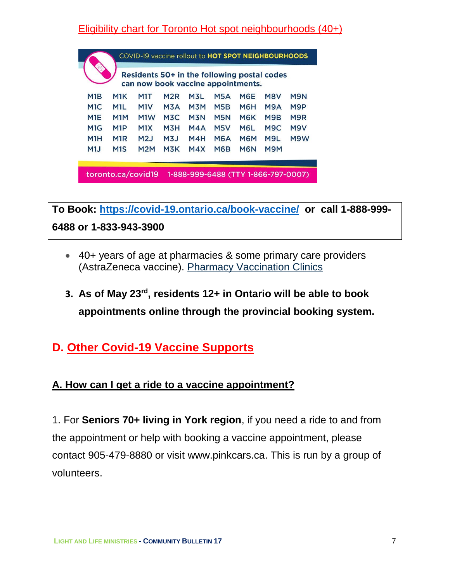## Eligibility chart for Toronto Hot spot neighbourhoods (40+)

|                  |                  | Residents 50+ in the following postal codes<br>can now book vaccine appointments. |                  |            |            |                  |                  |     |
|------------------|------------------|-----------------------------------------------------------------------------------|------------------|------------|------------|------------------|------------------|-----|
| M1B              | M <sub>1</sub> K | M1T                                                                               | M2R              | M3L.       | <b>M5A</b> | M6E              | M8V              | M9N |
| M <sub>1</sub> C | M1L              | M <sub>1</sub> V                                                                  | M <sub>3</sub> A | M3M        | M5B        | M <sub>6</sub> H | M9A              | M9P |
| M <sub>1</sub> E | M <sub>1</sub> M | M <sub>1</sub> W                                                                  | M3C              | <b>M3N</b> | <b>M5N</b> | M6K              | M9B              | M9R |
| M <sub>1</sub> G | M <sub>1</sub> P | M1X                                                                               | M3H              | MAA        | M5V        | M6L              | M <sub>9</sub> C | M9V |
| M1H              | M <sub>1</sub> R | M2J                                                                               | M <sub>3</sub>   | M4H        | M6A        | <b>M6M</b>       | M9L              | M9W |
| M1J              | M <sub>1</sub> S | M2M                                                                               | M3K              | M4X        | <b>M6B</b> | M <sub>6</sub> N | M9M              |     |
|                  |                  |                                                                                   |                  |            |            |                  |                  |     |

**To Book:<https://covid-19.ontario.ca/book-vaccine/>or call 1-888-999- 6488 or 1-833-943-3900**

- 40+ years of age at pharmacies & some primary care providers (AstraZeneca vaccine). Pharmacy [Vaccination](https://covid-19.ontario.ca/vaccine-locations) Clinics
- **3. As of May 23rd , residents 12+ in Ontario will be able to book appointments online through the provincial booking system.**

## **D. Other Covid-19 Vaccine Supports**

### **A. How can I get a ride to a vaccine appointment?**

1. For **Seniors 70+ living in York region**, if you need a ride to and from the appointment or help with booking a vaccine appointment, please contact 905-479-8880 or visit [www.pinkcars.ca.](http://www.pinkcars.ca/) This is run by a group of volunteers.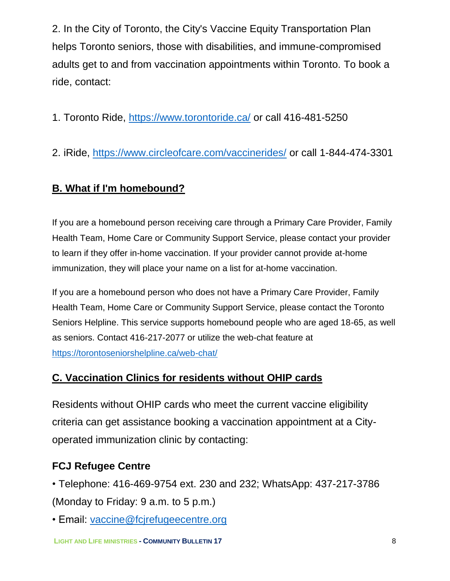2. In the City of Toronto, the City's Vaccine Equity Transportation Plan helps Toronto seniors, those with disabilities, and immune-compromised adults get to and from vaccination appointments within Toronto. To book a ride, contact:

1. Toronto Ride, [https://www.torontoride.ca/](https://anthonyperruzza.us2.list-manage.com/track/click?u=dc2624c0d4a736d1d94d13a17&id=c50a6fa94e&e=39fd6a65b8) or call 416-481-5250

2. iRide, [https://www.circleofcare.com/vaccinerides/](https://anthonyperruzza.us2.list-manage.com/track/click?u=dc2624c0d4a736d1d94d13a17&id=6a206e787c&e=39fd6a65b8) or call 1-844-474-3301

### **B. What if I'm homebound?**

If you are a homebound person receiving care through a Primary Care Provider, Family Health Team, Home Care or Community Support Service, please contact your provider to learn if they offer in-home vaccination. If your provider cannot provide at-home immunization, they will place your name on a list for at-home vaccination.

If you are a homebound person who does not have a Primary Care Provider, Family Health Team, Home Care or Community Support Service, please contact the Toronto Seniors Helpline. This service supports homebound people who are aged 18-65, as well as seniors. Contact 416-217-2077 or utilize the web-chat feature at <https://torontoseniorshelpline.ca/web-chat/>

#### **C. Vaccination Clinics for residents without OHIP cards**

Residents without OHIP cards who meet the current vaccine eligibility criteria can get assistance booking a vaccination appointment at a Cityoperated immunization clinic by contacting:

### **FCJ Refugee Centre**

- Telephone: 416-469-9754 ext. 230 and 232; WhatsApp: 437-217-3786 (Monday to Friday: 9 a.m. to 5 p.m.)
- Email: [vaccine@fcjrefugeecentre.org](mailto:vaccine@fcjrefugeecentre.org)